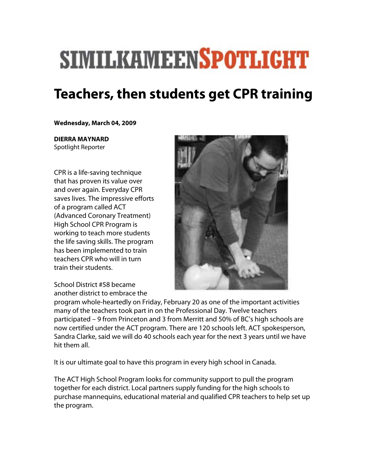## **SIMILKAMEENSPOTLIGHT**

## **Teachers, then students get CPR training**

## **Wednesday, March 04, 2009**

**DIERRA MAYNARD**  Spotlight Reporter

CPR is a life-saving technique that has proven its value over and over again. Everyday CPR saves lives. The impressive efforts of a program called ACT (Advanced Coronary Treatment) High School CPR Program is working to teach more students the life saving skills. The program has been implemented to train teachers CPR who will in turn train their students.

School District #58 became another district to embrace the



program whole-heartedly on Friday, February 20 as one of the important activities many of the teachers took part in on the Professional Day. Twelve teachers participated – 9 from Princeton and 3 from Merritt and 50% of BC's high schools are now certified under the ACT program. There are 120 schools left. ACT spokesperson, Sandra Clarke, said we will do 40 schools each year for the next 3 years until we have hit them all.

It is our ultimate goal to have this program in every high school in Canada.

The ACT High School Program looks for community support to pull the program together for each district. Local partners supply funding for the high schools to purchase mannequins, educational material and qualified CPR teachers to help set up the program.